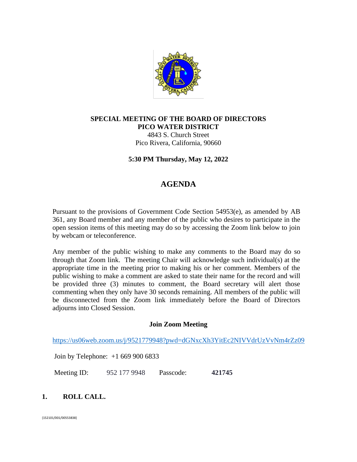

# **SPECIAL MEETING OF THE BOARD OF DIRECTORS PICO WATER DISTRICT**

4843 S. Church Street Pico Rivera, California, 90660

**5:30 PM Thursday, May 12, 2022**

# **AGENDA**

Pursuant to the provisions of Government Code Section 54953(e), as amended by AB 361, any Board member and any member of the public who desires to participate in the open session items of this meeting may do so by accessing the Zoom link below to join by webcam or teleconference.

Any member of the public wishing to make any comments to the Board may do so through that Zoom link. The meeting Chair will acknowledge such individual(s) at the appropriate time in the meeting prior to making his or her comment. Members of the public wishing to make a comment are asked to state their name for the record and will be provided three (3) minutes to comment, the Board secretary will alert those commenting when they only have 30 seconds remaining. All members of the public will be disconnected from the Zoom link immediately before the Board of Directors adjourns into Closed Session.

## **Join Zoom Meeting**

<https://us06web.zoom.us/j/9521779948?pwd=dGNxcXh3YitEc2NIVVdrUzVvNm4rZz09>

Join by Telephone: +1 669 900 6833

Meeting ID: 952 177 9948 Passcode: **421745**

## **1. ROLL CALL.**

{152101/001/00553838}